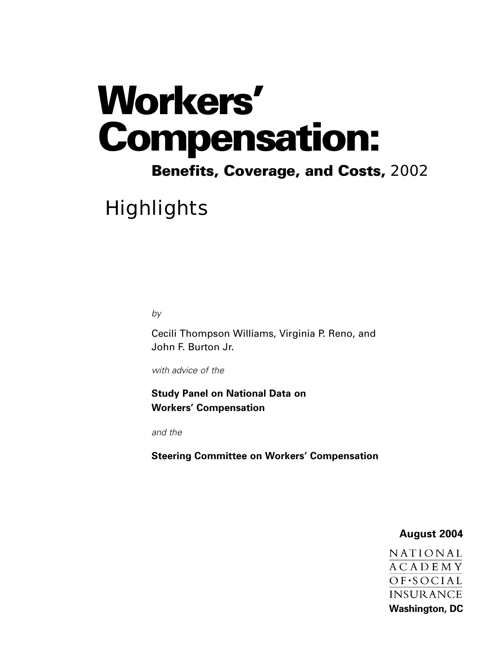# **Workers' Compensation:**

# **Benefits, Coverage, and Costs,** 2002

**Highlights** 

*by*

Cecili Thompson Williams, Virginia P. Reno, and John F. Burton Jr.

*with advice of the*

**Study Panel on National Data on Workers' Compensation** 

*and the* 

**Steering Committee on Workers' Compensation**

## **August 2004**

NATIONAL **ACADEMY** OF.SOCIAL **INSURANCE Washington, DC**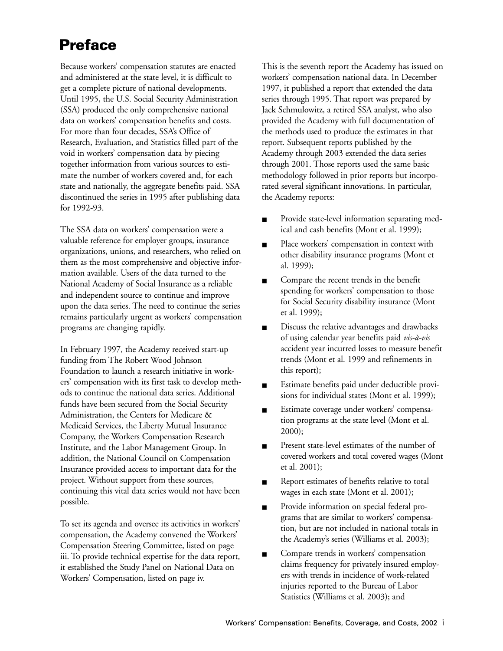# **Preface**

Because workers' compensation statutes are enacted and administered at the state level, it is difficult to get a complete picture of national developments. Until 1995, the U.S. Social Security Administration (SSA) produced the only comprehensive national data on workers' compensation benefits and costs. For more than four decades, SSA's Office of Research, Evaluation, and Statistics filled part of the void in workers' compensation data by piecing together information from various sources to estimate the number of workers covered and, for each state and nationally, the aggregate benefits paid. SSA discontinued the series in 1995 after publishing data for 1992-93.

The SSA data on workers' compensation were a valuable reference for employer groups, insurance organizations, unions, and researchers, who relied on them as the most comprehensive and objective information available. Users of the data turned to the National Academy of Social Insurance as a reliable and independent source to continue and improve upon the data series. The need to continue the series remains particularly urgent as workers' compensation programs are changing rapidly.

In February 1997, the Academy received start-up funding from The Robert Wood Johnson Foundation to launch a research initiative in workers' compensation with its first task to develop methods to continue the national data series. Additional funds have been secured from the Social Security Administration, the Centers for Medicare & Medicaid Services, the Liberty Mutual Insurance Company, the Workers Compensation Research Institute, and the Labor Management Group. In addition, the National Council on Compensation Insurance provided access to important data for the project. Without support from these sources, continuing this vital data series would not have been possible.

To set its agenda and oversee its activities in workers' compensation, the Academy convened the Workers' Compensation Steering Committee, listed on page iii. To provide technical expertise for the data report, it established the Study Panel on National Data on Workers' Compensation, listed on page iv.

This is the seventh report the Academy has issued on workers' compensation national data. In December 1997, it published a report that extended the data series through 1995. That report was prepared by Jack Schmulowitz, a retired SSA analyst, who also provided the Academy with full documentation of the methods used to produce the estimates in that report. Subsequent reports published by the Academy through 2003 extended the data series through 2001. Those reports used the same basic methodology followed in prior reports but incorporated several significant innovations. In particular, the Academy reports:

- Provide state-level information separating medical and cash benefits (Mont et al. 1999);
- Place workers' compensation in context with other disability insurance programs (Mont et al. 1999);
- Compare the recent trends in the benefit spending for workers' compensation to those for Social Security disability insurance (Mont et al. 1999);
- Discuss the relative advantages and drawbacks of using calendar year benefits paid *vis-à-vis* accident year incurred losses to measure benefit trends (Mont et al. 1999 and refinements in this report);
- Estimate benefits paid under deductible provisions for individual states (Mont et al. 1999);
- Estimate coverage under workers' compensation programs at the state level (Mont et al. 2000);
- Present state-level estimates of the number of covered workers and total covered wages (Mont et al. 2001);
- Report estimates of benefits relative to total wages in each state (Mont et al. 2001);
- Provide information on special federal programs that are similar to workers' compensation, but are not included in national totals in the Academy's series (Williams et al. 2003);
- Compare trends in workers' compensation claims frequency for privately insured employers with trends in incidence of work-related injuries reported to the Bureau of Labor Statistics (Williams et al. 2003); and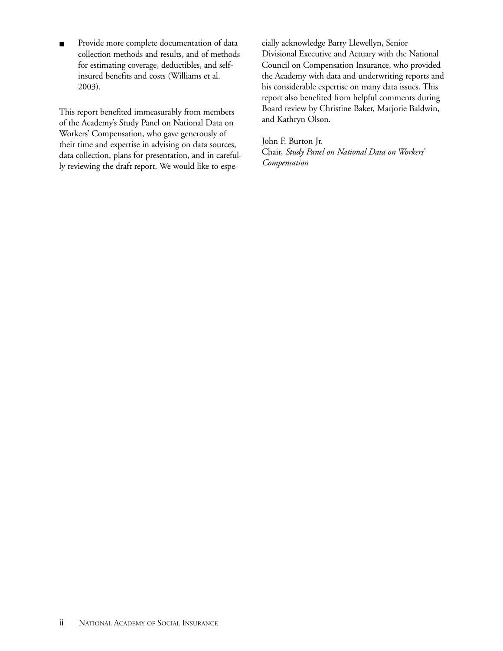■ Provide more complete documentation of data collection methods and results, and of methods for estimating coverage, deductibles, and selfinsured benefits and costs (Williams et al. 2003).

This report benefited immeasurably from members of the Academy's Study Panel on National Data on Workers' Compensation, who gave generously of their time and expertise in advising on data sources, data collection, plans for presentation, and in carefully reviewing the draft report. We would like to especially acknowledge Barry Llewellyn, Senior Divisional Executive and Actuary with the National Council on Compensation Insurance, who provided the Academy with data and underwriting reports and his considerable expertise on many data issues. This report also benefited from helpful comments during Board review by Christine Baker, Marjorie Baldwin, and Kathryn Olson.

John F. Burton Jr.

Chair, *Study Panel on National Data on Workers' Compensation*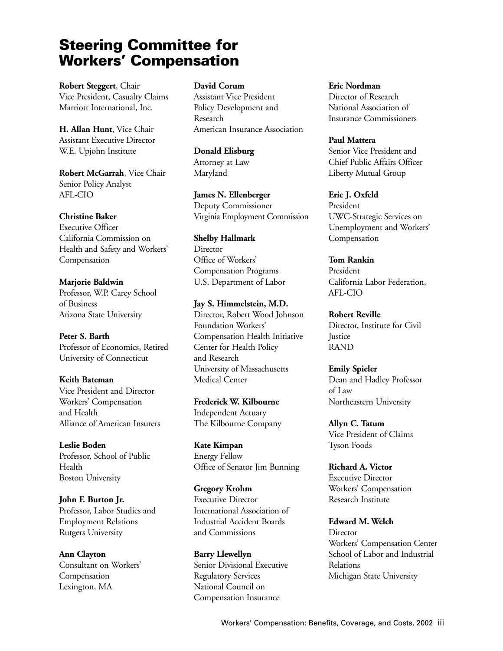# **Steering Committee for Workers' Compensation**

**Robert Steggert**, Chair Vice President, Casualty Claims Marriott International, Inc.

**H. Allan Hunt**, Vice Chair Assistant Executive Director W.E. Upjohn Institute

**Robert McGarrah**, Vice Chair Senior Policy Analyst AFL-CIO

#### **Christine Baker**

Executive Officer California Commission on Health and Safety and Workers' Compensation

**Marjorie Baldwin** Professor, W.P. Carey School of Business Arizona State University

**Peter S. Barth**  Professor of Economics, Retired University of Connecticut

**Keith Bateman** Vice President and Director Workers' Compensation and Health Alliance of American Insurers

**Leslie Boden** Professor, School of Public Health Boston University

**John F. Burton Jr.** Professor, Labor Studies and Employment Relations Rutgers University

**Ann Clayton** Consultant on Workers' Compensation Lexington, MA

#### **David Corum**

Assistant Vice President Policy Development and Research American Insurance Association

**Donald Elisburg** Attorney at Law Maryland

**James N. Ellenberger** Deputy Commissioner Virginia Employment Commission

**Shelby Hallmark Director** Office of Workers' Compensation Programs U.S. Department of Labor

**Jay S. Himmelstein, M.D.** Director, Robert Wood Johnson Foundation Workers' Compensation Health Initiative Center for Health Policy and Research University of Massachusetts Medical Center

**Frederick W. Kilbourne** Independent Actuary The Kilbourne Company

**Kate Kimpan** Energy Fellow Office of Senator Jim Bunning

**Gregory Krohm** Executive Director International Association of Industrial Accident Boards and Commissions

**Barry Llewellyn** Senior Divisional Executive Regulatory Services National Council on Compensation Insurance

**Eric Nordman** Director of Research National Association of Insurance Commissioners

**Paul Mattera** Senior Vice President and Chief Public Affairs Officer Liberty Mutual Group

**Eric J. Oxfeld** President UWC-Strategic Services on Unemployment and Workers' Compensation

**Tom Rankin** President California Labor Federation, AFL-CIO

**Robert Reville** Director, Institute for Civil **Iustice** RAND

**Emily Spieler** Dean and Hadley Professor of Law Northeastern University

**Allyn C. Tatum** Vice President of Claims Tyson Foods

**Richard A. Victor** Executive Director Workers' Compensation Research Institute

**Edward M. Welch Director** Workers' Compensation Center School of Labor and Industrial Relations Michigan State University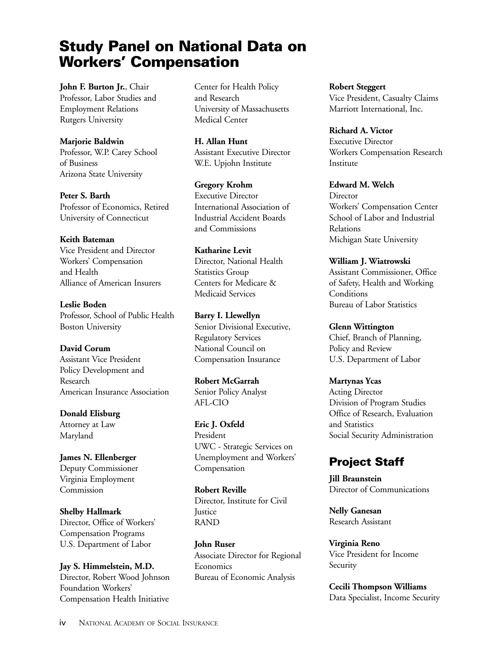# **Study Panel on National Data on Workers' Compensation**

**John F. Burton Jr.**, Chair Professor, Labor Studies and Employment Relations Rutgers University

#### **Marjorie Baldwin**

Professor, W.P. Carey School of Business Arizona State University

**Peter S. Barth**  Professor of Economics, Retired University of Connecticut

#### **Keith Bateman**

Vice President and Director Workers' Compensation and Health Alliance of American Insurers

**Leslie Boden** Professor, School of Public Health Boston University

#### **David Corum**

Assistant Vice President Policy Development and Research American Insurance Association

**Donald Elisburg** Attorney at Law Maryland

**James N. Ellenberger** Deputy Commissioner Virginia Employment Commission

**Shelby Hallmark** Director, Office of Workers' Compensation Programs U.S. Department of Labor

**Jay S. Himmelstein, M.D.** Director, Robert Wood Johnson Foundation Workers' Compensation Health Initiative

Center for Health Policy and Research University of Massachusetts Medical Center

**H. Allan Hunt**  Assistant Executive Director W.E. Upjohn Institute

**Gregory Krohm** Executive Director International Association of Industrial Accident Boards and Commissions

**Katharine Levit** Director, National Health Statistics Group Centers for Medicare & Medicaid Services

**Barry I. Llewellyn** Senior Divisional Executive, Regulatory Services National Council on Compensation Insurance

**Robert McGarrah** Senior Policy Analyst AFL-CIO

**Eric J. Oxfeld** President UWC - Strategic Services on Unemployment and Workers' Compensation

**Robert Reville** Director, Institute for Civil **Justice** RAND

**John Ruser** Associate Director for Regional **Economics** Bureau of Economic Analysis

**Robert Steggert** Vice President, Casualty Claims Marriott International, Inc.

**Richard A. Victor** Executive Director Workers Compensation Research Institute

**Edward M. Welch Director** Workers' Compensation Center School of Labor and Industrial Relations Michigan State University

**William J. Wiatrowski** Assistant Commissioner, Office of Safety, Health and Working **Conditions** Bureau of Labor Statistics

**Glenn Wittington** Chief, Branch of Planning, Policy and Review U.S. Department of Labor

#### **Martynas Ycas**

Acting Director Division of Program Studies Office of Research, Evaluation and Statistics Social Security Administration

## **Project Staff**

**Jill Braunstein** Director of Communications

**Nelly Ganesan** Research Assistant

**Virginia Reno** Vice President for Income Security

**Cecili Thompson Williams** Data Specialist, Income Security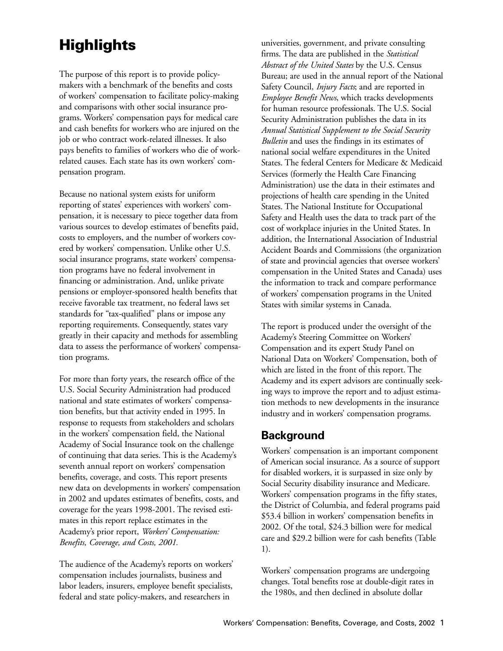# **Highlights**

The purpose of this report is to provide policymakers with a benchmark of the benefits and costs of workers' compensation to facilitate policy-making and comparisons with other social insurance programs. Workers' compensation pays for medical care and cash benefits for workers who are injured on the job or who contract work-related illnesses. It also pays benefits to families of workers who die of workrelated causes. Each state has its own workers' compensation program.

Because no national system exists for uniform reporting of states' experiences with workers' compensation, it is necessary to piece together data from various sources to develop estimates of benefits paid, costs to employers, and the number of workers covered by workers' compensation. Unlike other U.S. social insurance programs, state workers' compensation programs have no federal involvement in financing or administration. And, unlike private pensions or employer-sponsored health benefits that receive favorable tax treatment, no federal laws set standards for "tax-qualified" plans or impose any reporting requirements. Consequently, states vary greatly in their capacity and methods for assembling data to assess the performance of workers' compensation programs.

For more than forty years, the research office of the U.S. Social Security Administration had produced national and state estimates of workers' compensation benefits, but that activity ended in 1995. In response to requests from stakeholders and scholars in the workers' compensation field, the National Academy of Social Insurance took on the challenge of continuing that data series. This is the Academy's seventh annual report on workers' compensation benefits, coverage, and costs. This report presents new data on developments in workers' compensation in 2002 and updates estimates of benefits, costs, and coverage for the years 1998-2001. The revised estimates in this report replace estimates in the Academy's prior report, *Workers' Compensation: Benefits, Coverage, and Costs, 2001.*

The audience of the Academy's reports on workers' compensation includes journalists, business and labor leaders, insurers, employee benefit specialists, federal and state policy-makers, and researchers in

universities, government, and private consulting firms. The data are published in the *Statistical Abstract of the United States* by the U.S. Census Bureau; are used in the annual report of the National Safety Council, *Injury Facts*; and are reported in *Employee Benefit News*, which tracks developments for human resource professionals. The U.S. Social Security Administration publishes the data in its *Annual Statistical Supplement to the Social Security Bulletin* and uses the findings in its estimates of national social welfare expenditures in the United States. The federal Centers for Medicare & Medicaid Services (formerly the Health Care Financing Administration) use the data in their estimates and projections of health care spending in the United States. The National Institute for Occupational Safety and Health uses the data to track part of the cost of workplace injuries in the United States. In addition, the International Association of Industrial Accident Boards and Commissions (the organization of state and provincial agencies that oversee workers' compensation in the United States and Canada) uses the information to track and compare performance of workers' compensation programs in the United States with similar systems in Canada.

The report is produced under the oversight of the Academy's Steering Committee on Workers' Compensation and its expert Study Panel on National Data on Workers' Compensation, both of which are listed in the front of this report. The Academy and its expert advisors are continually seeking ways to improve the report and to adjust estimation methods to new developments in the insurance industry and in workers' compensation programs.

## **Background**

Workers' compensation is an important component of American social insurance. As a source of support for disabled workers, it is surpassed in size only by Social Security disability insurance and Medicare. Workers' compensation programs in the fifty states, the District of Columbia, and federal programs paid \$53.4 billion in workers' compensation benefits in 2002. Of the total, \$24.3 billion were for medical care and \$29.2 billion were for cash benefits (Table 1).

Workers' compensation programs are undergoing changes. Total benefits rose at double-digit rates in the 1980s, and then declined in absolute dollar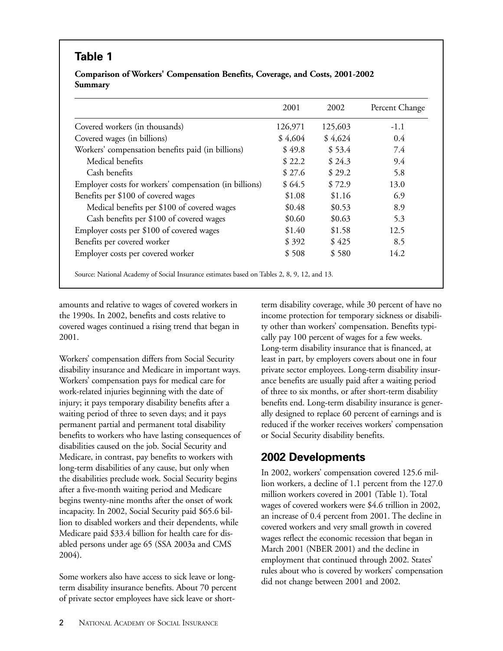# **Table 1**

#### **Comparison of Workers' Compensation Benefits, Coverage, and Costs, 2001-2002 Summary**

|                                                        | 2001    | 2002    | Percent Change |
|--------------------------------------------------------|---------|---------|----------------|
| Covered workers (in thousands)                         | 126,971 | 125,603 | $-1.1$         |
| Covered wages (in billions)                            | \$4,604 | \$4,624 | 0.4            |
| Workers' compensation benefits paid (in billions)      | \$49.8  | \$53.4  | 7.4            |
| Medical benefits                                       | \$22.2  | \$24.3  | 9.4            |
| Cash benefits                                          | \$27.6  | \$29.2  | 5.8            |
| Employer costs for workers' compensation (in billions) | \$64.5  | \$72.9  | 13.0           |
| Benefits per \$100 of covered wages                    | \$1.08  | \$1.16  | 6.9            |
| Medical benefits per \$100 of covered wages            | \$0.48  | \$0.53  | 8.9            |
| Cash benefits per \$100 of covered wages               | \$0.60  | \$0.63  | 5.3            |
| Employer costs per \$100 of covered wages              | \$1.40  | \$1.58  | 12.5           |
| Benefits per covered worker                            | \$392   | \$425   | 8.5            |
| Employer costs per covered worker                      | \$508   | \$580   | 14.2           |

amounts and relative to wages of covered workers in the 1990s. In 2002, benefits and costs relative to covered wages continued a rising trend that began in 2001.

Workers' compensation differs from Social Security disability insurance and Medicare in important ways. Workers' compensation pays for medical care for work-related injuries beginning with the date of injury; it pays temporary disability benefits after a waiting period of three to seven days; and it pays permanent partial and permanent total disability benefits to workers who have lasting consequences of disabilities caused on the job. Social Security and Medicare, in contrast, pay benefits to workers with long-term disabilities of any cause, but only when the disabilities preclude work. Social Security begins after a five-month waiting period and Medicare begins twenty-nine months after the onset of work incapacity. In 2002, Social Security paid \$65.6 billion to disabled workers and their dependents, while Medicare paid \$33.4 billion for health care for disabled persons under age 65 (SSA 2003a and CMS 2004).

Some workers also have access to sick leave or longterm disability insurance benefits. About 70 percent of private sector employees have sick leave or short-

term disability coverage, while 30 percent of have no income protection for temporary sickness or disability other than workers' compensation. Benefits typically pay 100 percent of wages for a few weeks. Long-term disability insurance that is financed, at least in part, by employers covers about one in four private sector employees. Long-term disability insurance benefits are usually paid after a waiting period of three to six months, or after short-term disability benefits end. Long-term disability insurance is generally designed to replace 60 percent of earnings and is reduced if the worker receives workers' compensation or Social Security disability benefits.

# **2002 Developments**

In 2002, workers' compensation covered 125.6 million workers, a decline of 1.1 percent from the 127.0 million workers covered in 2001 (Table 1). Total wages of covered workers were \$4.6 trillion in 2002, an increase of 0.4 percent from 2001. The decline in covered workers and very small growth in covered wages reflect the economic recession that began in March 2001 (NBER 2001) and the decline in employment that continued through 2002. States' rules about who is covered by workers' compensation did not change between 2001 and 2002.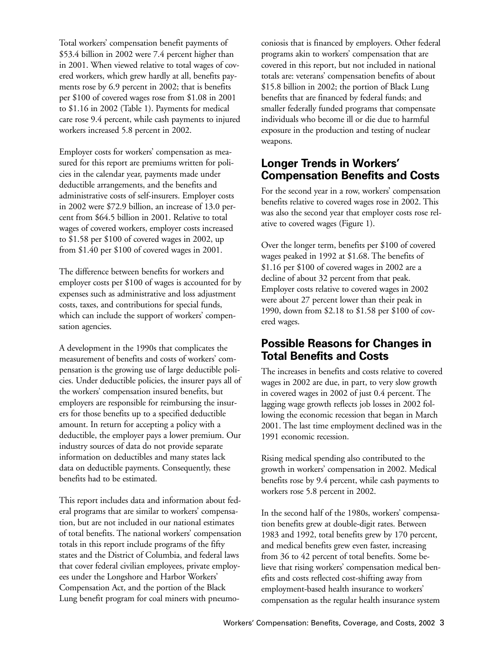Total workers' compensation benefit payments of \$53.4 billion in 2002 were 7.4 percent higher than in 2001. When viewed relative to total wages of covered workers, which grew hardly at all, benefits payments rose by 6.9 percent in 2002; that is benefits per \$100 of covered wages rose from \$1.08 in 2001 to \$1.16 in 2002 (Table 1). Payments for medical care rose 9.4 percent, while cash payments to injured workers increased 5.8 percent in 2002.

Employer costs for workers' compensation as measured for this report are premiums written for policies in the calendar year, payments made under deductible arrangements, and the benefits and administrative costs of self-insurers. Employer costs in 2002 were \$72.9 billion, an increase of 13.0 percent from \$64.5 billion in 2001. Relative to total wages of covered workers, employer costs increased to \$1.58 per \$100 of covered wages in 2002, up from \$1.40 per \$100 of covered wages in 2001.

The difference between benefits for workers and employer costs per \$100 of wages is accounted for by expenses such as administrative and loss adjustment costs, taxes, and contributions for special funds, which can include the support of workers' compensation agencies.

A development in the 1990s that complicates the measurement of benefits and costs of workers' compensation is the growing use of large deductible policies. Under deductible policies, the insurer pays all of the workers' compensation insured benefits, but employers are responsible for reimbursing the insurers for those benefits up to a specified deductible amount. In return for accepting a policy with a deductible, the employer pays a lower premium. Our industry sources of data do not provide separate information on deductibles and many states lack data on deductible payments. Consequently, these benefits had to be estimated.

This report includes data and information about federal programs that are similar to workers' compensation, but are not included in our national estimates of total benefits. The national workers' compensation totals in this report include programs of the fifty states and the District of Columbia, and federal laws that cover federal civilian employees, private employees under the Longshore and Harbor Workers' Compensation Act, and the portion of the Black Lung benefit program for coal miners with pneumo-

coniosis that is financed by employers. Other federal programs akin to workers' compensation that are covered in this report, but not included in national totals are: veterans' compensation benefits of about \$15.8 billion in 2002; the portion of Black Lung benefits that are financed by federal funds; and smaller federally funded programs that compensate individuals who become ill or die due to harmful exposure in the production and testing of nuclear weapons.

## **Longer Trends in Workers' Compensation Benefits and Costs**

For the second year in a row, workers' compensation benefits relative to covered wages rose in 2002. This was also the second year that employer costs rose relative to covered wages (Figure 1).

Over the longer term, benefits per \$100 of covered wages peaked in 1992 at \$1.68. The benefits of \$1.16 per \$100 of covered wages in 2002 are a decline of about 32 percent from that peak. Employer costs relative to covered wages in 2002 were about 27 percent lower than their peak in 1990, down from \$2.18 to \$1.58 per \$100 of covered wages.

## **Possible Reasons for Changes in Total Benefits and Costs**

The increases in benefits and costs relative to covered wages in 2002 are due, in part, to very slow growth in covered wages in 2002 of just 0.4 percent. The lagging wage growth reflects job losses in 2002 following the economic recession that began in March 2001. The last time employment declined was in the 1991 economic recession.

Rising medical spending also contributed to the growth in workers' compensation in 2002. Medical benefits rose by 9.4 percent, while cash payments to workers rose 5.8 percent in 2002.

In the second half of the 1980s, workers' compensation benefits grew at double-digit rates. Between 1983 and 1992, total benefits grew by 170 percent, and medical benefits grew even faster, increasing from 36 to 42 percent of total benefits. Some believe that rising workers' compensation medical benefits and costs reflected cost-shifting away from employment-based health insurance to workers' compensation as the regular health insurance system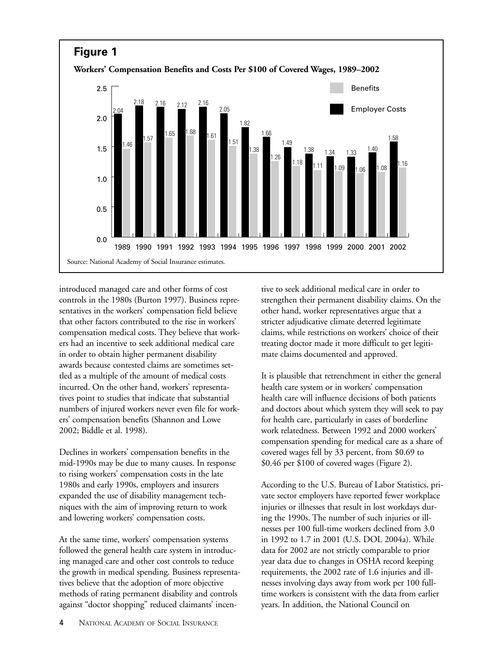

introduced managed care and other forms of cost controls in the 1980s (Burton 1997). Business representatives in the workers' compensation field believe that other factors contributed to the rise in workers' compensation medical costs. They believe that workers had an incentive to seek additional medical care in order to obtain higher permanent disability awards because contested claims are sometimes settled as a multiple of the amount of medical costs incurred. On the other hand, workers' representatives point to studies that indicate that substantial numbers of injured workers never even file for workers' compensation benefits (Shannon and Lowe 2002; Biddle et al. 1998).

Declines in workers' compensation benefits in the mid-1990s may be due to many causes. In response to rising workers' compensation costs in the late 1980s and early 1990s, employers and insurers expanded the use of disability management techniques with the aim of improving return to work and lowering workers' compensation costs.

At the same time, workers' compensation systems followed the general health care system in introducing managed care and other cost controls to reduce the growth in medical spending. Business representatives believe that the adoption of more objective methods of rating permanent disability and controls against "doctor shopping" reduced claimants' incentive to seek additional medical care in order to strengthen their permanent disability claims. On the other hand, worker representatives argue that a stricter adjudicative climate deterred legitimate claims, while restrictions on workers' choice of their treating doctor made it more difficult to get legitimate claims documented and approved.

It is plausible that retrenchment in either the general health care system or in workers' compensation health care will influence decisions of both patients and doctors about which system they will seek to pay for health care, particularly in cases of borderline work relatedness. Between 1992 and 2000 workers' compensation spending for medical care as a share of covered wages fell by 33 percent, from \$0.69 to \$0.46 per \$100 of covered wages (Figure 2).

According to the U.S. Bureau of Labor Statistics, private sector employers have reported fewer workplace injuries or illnesses that result in lost workdays during the 1990s. The number of such injuries or illnesses per 100 full-time workers declined from 3.0 in 1992 to 1.7 in 2001 (U.S. DOL 2004a). While data for 2002 are not strictly comparable to prior year data due to changes in OSHA record keeping requirements, the 2002 rate of 1.6 injuries and illnesses involving days away from work per 100 fulltime workers is consistent with the data from earlier years. In addition, the National Council on